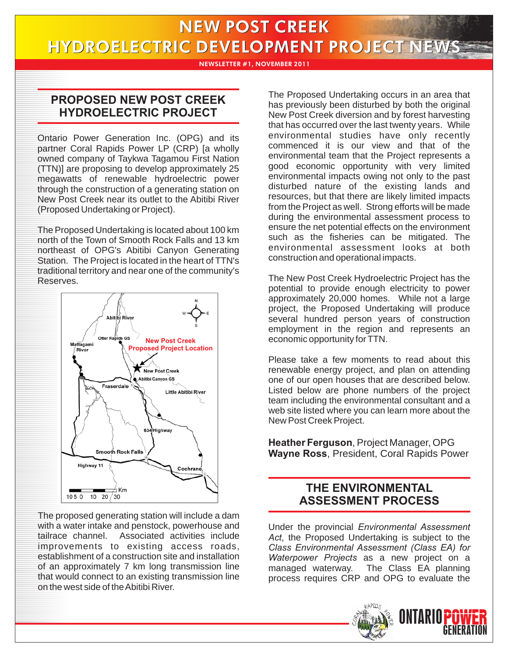NEWSLETTER #1, NOVEMBER 2011

# **PROPOSED NEW POST CREEK HYDROELECTRIC PROJECT**

Ontario Power Generation Inc. (OPG) and its partner Coral Rapids Power LP (CRP) [a wholly owned company of Taykwa Tagamou First Nation (TTN)] are proposing to develop approximately 25 megawatts of renewable hydroelectric power through the construction of a generating station on New Post Creek near its outlet to the Abitibi River (Proposed Undertaking or Project).

The Proposed Undertaking is located about 100 km north of the Town of Smooth Rock Falls and 13 km northeast of OPG's Abitibi Canyon Generating Station. The Project is located in the heart of TTN's traditional territory and near one of the community's Reserves.



The proposed generating station will include a dam with a water intake and penstock, powerhouse and tailrace channel. Associated activities include improvements to existing access roads, establishment of a construction site and installation of an approximately 7 km long transmission line that would connect to an existing transmission line on the west side of the Abitibi River.

The Proposed Undertaking occurs in an area that has previously been disturbed by both the original New Post Creek diversion and by forest harvesting that has occurred over the last twenty years. While environmental studies have only recently commenced it is our view and that of the environmental team that the Project represents a good economic opportunity with very limited environmental impacts owing not only to the past disturbed nature of the existing lands and resources, but that there are likely limited impacts from the Project as well. Strong efforts will be made during the environmental assessment process to ensure the net potential effects on the environment such as the fisheries can be mitigated. The environmental assessment looks at both construction and operational impacts.

The New Post Creek Hydroelectric Project has the potential to provide enough electricity to power approximately 20,000 homes. While not a large project, the Proposed Undertaking will produce several hundred person years of construction employment in the region and represents an economic opportunity for TTN.

Please take a few moments to read about this renewable energy project, and plan on attending one of our open houses that are described below. Listed below are phone numbers of the project team including the environmental consultant and a web site listed where you can learn more about the New Post Creek Project.

**Heather Ferguson**, Project Manager, OPG **Wayne Ross**, President, Coral Rapids Power

## **THE ENVIRONMENTAL ASSESSMENT PROCESS**

Under the provincial *Environmental Assessment Act*, the Proposed Undertaking is subject to the *Class Environmental Assessment (Class EA) for Waterpower Projects* as a new project on a managed waterway. The Class EA planning process requires CRP and OPG to evaluate the